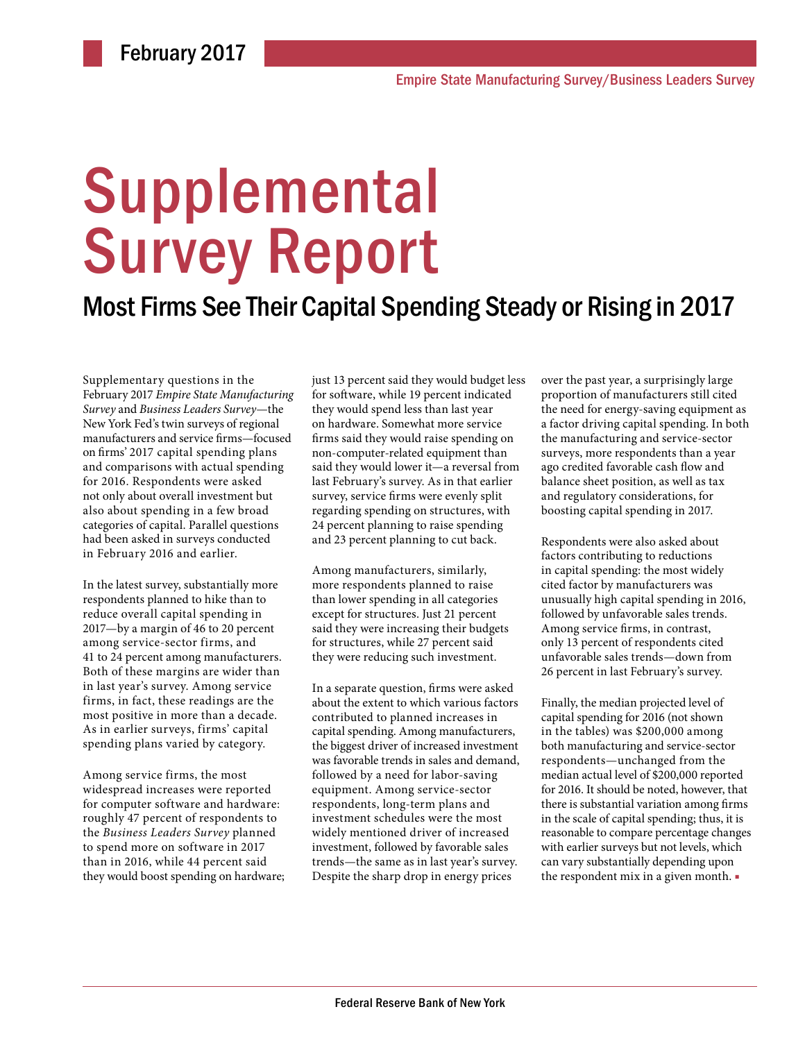# Supplemental Survey Report

## Most Firms See Their Capital Spending Steady or Rising in 2017

Supplementary questions in the February 2017 *Empire State Manufacturing Survey* and *Business Leaders Survey*—the New York Fed's twin surveys of regional manufacturers and service firms—focused on firms' 2017 capital spending plans and comparisons with actual spending for 2016. Respondents were asked not only about overall investment but also about spending in a few broad categories of capital. Parallel questions had been asked in surveys conducted in February 2016 and earlier.

In the latest survey, substantially more respondents planned to hike than to reduce overall capital spending in 2017—by a margin of 46 to 20 percent among service-sector firms, and 41 to 24 percent among manufacturers. Both of these margins are wider than in last year's survey. Among service firms, in fact, these readings are the most positive in more than a decade. As in earlier surveys, firms' capital spending plans varied by category.

Among service firms, the most widespread increases were reported for computer software and hardware: roughly 47 percent of respondents to the *Business Leaders Survey* planned to spend more on software in 2017 than in 2016, while 44 percent said they would boost spending on hardware; just 13 percent said they would budget less for software, while 19 percent indicated they would spend less than last year on hardware. Somewhat more service firms said they would raise spending on non-computer-related equipment than said they would lower it—a reversal from last February's survey. As in that earlier survey, service firms were evenly split regarding spending on structures, with 24 percent planning to raise spending and 23 percent planning to cut back.

Among manufacturers, similarly, more respondents planned to raise than lower spending in all categories except for structures. Just 21 percent said they were increasing their budgets for structures, while 27 percent said they were reducing such investment.

In a separate question, firms were asked about the extent to which various factors contributed to planned increases in capital spending. Among manufacturers, the biggest driver of increased investment was favorable trends in sales and demand, followed by a need for labor-saving equipment. Among service-sector respondents, long-term plans and investment schedules were the most widely mentioned driver of increased investment, followed by favorable sales trends—the same as in last year's survey. Despite the sharp drop in energy prices

over the past year, a surprisingly large proportion of manufacturers still cited the need for energy-saving equipment as a factor driving capital spending. In both the manufacturing and service-sector surveys, more respondents than a year ago credited favorable cash flow and balance sheet position, as well as tax and regulatory considerations, for boosting capital spending in 2017.

Respondents were also asked about factors contributing to reductions in capital spending: the most widely cited factor by manufacturers was unusually high capital spending in 2016, followed by unfavorable sales trends. Among service firms, in contrast, only 13 percent of respondents cited unfavorable sales trends—down from 26 percent in last February's survey.

Finally, the median projected level of capital spending for 2016 (not shown in the tables) was \$200,000 among both manufacturing and service-sector respondents—unchanged from the median actual level of \$200,000 reported for 2016. It should be noted, however, that there is substantial variation among firms in the scale of capital spending; thus, it is reasonable to compare percentage changes with earlier surveys but not levels, which can vary substantially depending upon the respondent mix in a given month. ■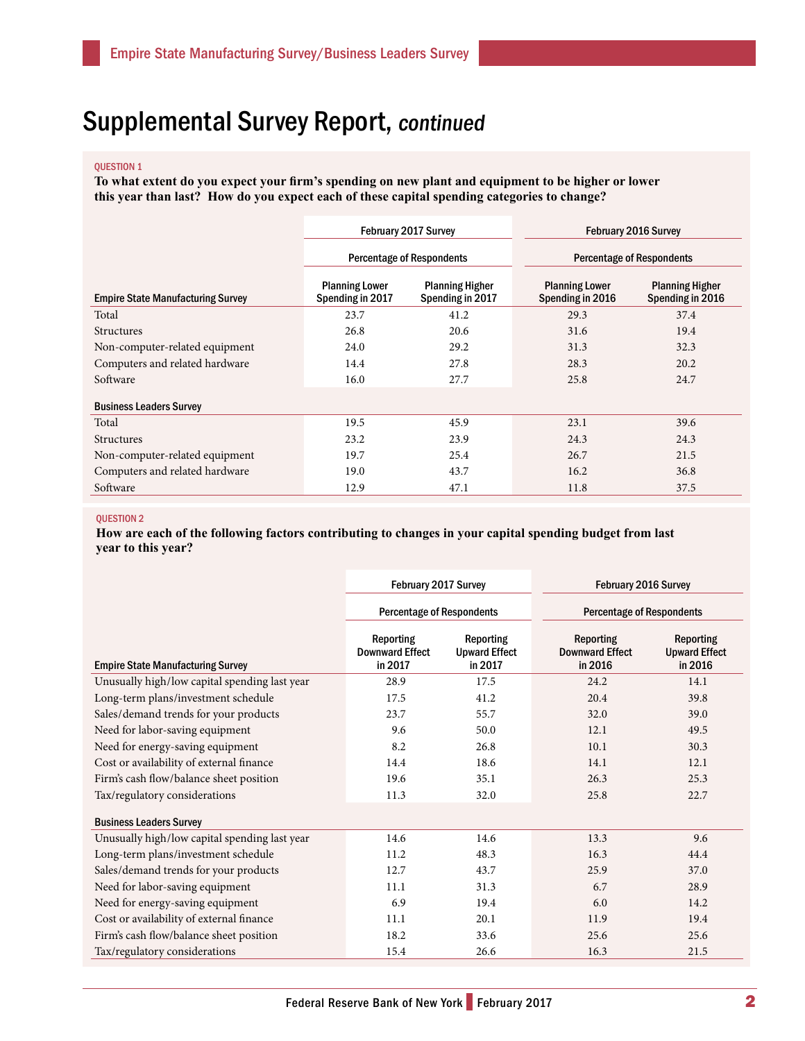## Supplemental Survey Report, continued

#### QUESTION 1

**To what extent do you expect your firm's spending on new plant and equipment to be higher or lower this year than last? How do you expect each of these capital spending categories to change?**

|                                          | <b>February 2017 Survey</b>               |                                            | <b>February 2016 Survey</b>               |                                            |
|------------------------------------------|-------------------------------------------|--------------------------------------------|-------------------------------------------|--------------------------------------------|
|                                          | <b>Percentage of Respondents</b>          |                                            | <b>Percentage of Respondents</b>          |                                            |
| <b>Empire State Manufacturing Survey</b> | <b>Planning Lower</b><br>Spending in 2017 | <b>Planning Higher</b><br>Spending in 2017 | <b>Planning Lower</b><br>Spending in 2016 | <b>Planning Higher</b><br>Spending in 2016 |
| Total                                    | 23.7                                      | 41.2                                       | 29.3                                      | 37.4                                       |
| <b>Structures</b>                        | 26.8                                      | 20.6                                       | 31.6                                      | 19.4                                       |
| Non-computer-related equipment           | 24.0                                      | 29.2                                       | 31.3                                      | 32.3                                       |
| Computers and related hardware           | 14.4                                      | 27.8                                       | 28.3                                      | 20.2                                       |
| Software                                 | 16.0                                      | 27.7                                       | 25.8                                      | 24.7                                       |
| <b>Business Leaders Survey</b>           |                                           |                                            |                                           |                                            |
| Total                                    | 19.5                                      | 45.9                                       | 23.1                                      | 39.6                                       |
| <b>Structures</b>                        | 23.2                                      | 23.9                                       | 24.3                                      | 24.3                                       |
| Non-computer-related equipment           | 19.7                                      | 25.4                                       | 26.7                                      | 21.5                                       |
| Computers and related hardware           | 19.0                                      | 43.7                                       | 16.2                                      | 36.8                                       |
| Software                                 | 12.9                                      | 47.1                                       | 11.8                                      | 37.5                                       |

#### QUESTION 2

**How are each of the following factors contributing to changes in your capital spending budget from last year to this year?**

|                                               | February 2017 Survey                                  |                                              | February 2016 Survey                                  |                                              |
|-----------------------------------------------|-------------------------------------------------------|----------------------------------------------|-------------------------------------------------------|----------------------------------------------|
|                                               | <b>Percentage of Respondents</b>                      |                                              | <b>Percentage of Respondents</b>                      |                                              |
| <b>Empire State Manufacturing Survey</b>      | <b>Reporting</b><br><b>Downward Effect</b><br>in 2017 | Reporting<br><b>Upward Effect</b><br>in 2017 | <b>Reporting</b><br><b>Downward Effect</b><br>in 2016 | Reporting<br><b>Upward Effect</b><br>in 2016 |
| Unusually high/low capital spending last year | 28.9                                                  | 17.5                                         | 24.2                                                  | 14.1                                         |
| Long-term plans/investment schedule           | 17.5                                                  | 41.2                                         | 20.4                                                  | 39.8                                         |
| Sales/demand trends for your products         | 23.7                                                  | 55.7                                         | 32.0                                                  | 39.0                                         |
| Need for labor-saving equipment               | 9.6                                                   | 50.0                                         | 12.1                                                  | 49.5                                         |
| Need for energy-saving equipment              | 8.2                                                   | 26.8                                         | 10.1                                                  | 30.3                                         |
| Cost or availability of external finance      | 14.4                                                  | 18.6                                         | 14.1                                                  | 12.1                                         |
| Firm's cash flow/balance sheet position       | 19.6                                                  | 35.1                                         | 26.3                                                  | 25.3                                         |
| Tax/regulatory considerations                 | 11.3                                                  | 32.0                                         | 25.8                                                  | 22.7                                         |
| <b>Business Leaders Survey</b>                |                                                       |                                              |                                                       |                                              |
| Unusually high/low capital spending last year | 14.6                                                  | 14.6                                         | 13.3                                                  | 9.6                                          |
| Long-term plans/investment schedule           | 11.2                                                  | 48.3                                         | 16.3                                                  | 44.4                                         |
| Sales/demand trends for your products         | 12.7                                                  | 43.7                                         | 25.9                                                  | 37.0                                         |
| Need for labor-saving equipment               | 11.1                                                  | 31.3                                         | 6.7                                                   | 28.9                                         |
| Need for energy-saving equipment              | 6.9                                                   | 19.4                                         | 6.0                                                   | 14.2                                         |
| Cost or availability of external finance      | 11.1                                                  | 20.1                                         | 11.9                                                  | 19.4                                         |
| Firm's cash flow/balance sheet position       | 18.2                                                  | 33.6                                         | 25.6                                                  | 25.6                                         |
| Tax/regulatory considerations                 | 15.4                                                  | 26.6                                         | 16.3                                                  | 21.5                                         |